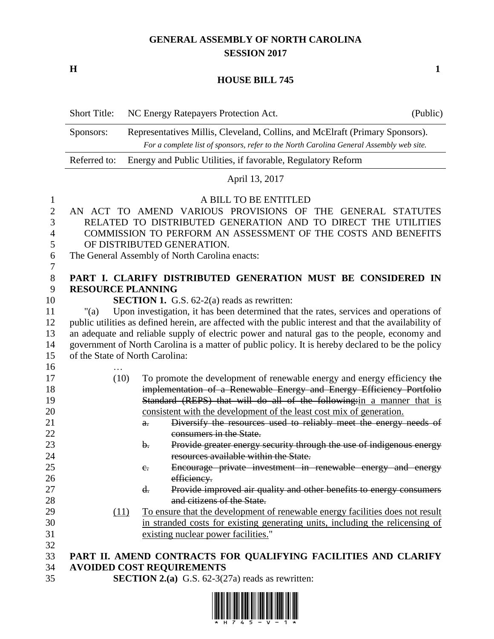## **GENERAL ASSEMBLY OF NORTH CAROLINA SESSION 2017**

**H 1**

## **HOUSE BILL 745**

|                                                                                        | <b>Short Title:</b>                                                                                                                                                                                                                                                                                                                                                                                                                                                                                                                                                                                 | NC Energy Ratepayers Protection Act.                                                                                                                                                                                                                                                                                                                                                                                                                                                                                                                                                                                                                                                                                                                                                                                                                                                                             | (Public) |  |  |  |
|----------------------------------------------------------------------------------------|-----------------------------------------------------------------------------------------------------------------------------------------------------------------------------------------------------------------------------------------------------------------------------------------------------------------------------------------------------------------------------------------------------------------------------------------------------------------------------------------------------------------------------------------------------------------------------------------------------|------------------------------------------------------------------------------------------------------------------------------------------------------------------------------------------------------------------------------------------------------------------------------------------------------------------------------------------------------------------------------------------------------------------------------------------------------------------------------------------------------------------------------------------------------------------------------------------------------------------------------------------------------------------------------------------------------------------------------------------------------------------------------------------------------------------------------------------------------------------------------------------------------------------|----------|--|--|--|
| Sponsors:                                                                              |                                                                                                                                                                                                                                                                                                                                                                                                                                                                                                                                                                                                     | Representatives Millis, Cleveland, Collins, and McElraft (Primary Sponsors).<br>For a complete list of sponsors, refer to the North Carolina General Assembly web site.                                                                                                                                                                                                                                                                                                                                                                                                                                                                                                                                                                                                                                                                                                                                          |          |  |  |  |
|                                                                                        | Referred to:                                                                                                                                                                                                                                                                                                                                                                                                                                                                                                                                                                                        | Energy and Public Utilities, if favorable, Regulatory Reform                                                                                                                                                                                                                                                                                                                                                                                                                                                                                                                                                                                                                                                                                                                                                                                                                                                     |          |  |  |  |
|                                                                                        | April 13, 2017                                                                                                                                                                                                                                                                                                                                                                                                                                                                                                                                                                                      |                                                                                                                                                                                                                                                                                                                                                                                                                                                                                                                                                                                                                                                                                                                                                                                                                                                                                                                  |          |  |  |  |
| 1<br>$\overline{2}$<br>3<br>4<br>5<br>6<br>7                                           | A BILL TO BE ENTITLED<br>AN ACT TO AMEND VARIOUS PROVISIONS OF THE GENERAL STATUTES<br>RELATED TO DISTRIBUTED GENERATION AND TO DIRECT THE UTILITIES<br>COMMISSION TO PERFORM AN ASSESSMENT OF THE COSTS AND BENEFITS<br>OF DISTRIBUTED GENERATION.<br>The General Assembly of North Carolina enacts:                                                                                                                                                                                                                                                                                               |                                                                                                                                                                                                                                                                                                                                                                                                                                                                                                                                                                                                                                                                                                                                                                                                                                                                                                                  |          |  |  |  |
| 8<br>9<br>10<br>11<br>12<br>13<br>14<br>15                                             | PART I. CLARIFY DISTRIBUTED GENERATION MUST BE CONSIDERED IN<br><b>RESOURCE PLANNING</b><br><b>SECTION 1.</b> G.S. $62-2(a)$ reads as rewritten:<br>Upon investigation, it has been determined that the rates, services and operations of<br>"(a)<br>public utilities as defined herein, are affected with the public interest and that the availability of<br>an adequate and reliable supply of electric power and natural gas to the people, economy and<br>government of North Carolina is a matter of public policy. It is hereby declared to be the policy<br>of the State of North Carolina: |                                                                                                                                                                                                                                                                                                                                                                                                                                                                                                                                                                                                                                                                                                                                                                                                                                                                                                                  |          |  |  |  |
| 16<br>17<br>18<br>19<br>20<br>21<br>22<br>23<br>24<br>25<br>26<br>27<br>28<br>29<br>30 | (10)<br>(11)                                                                                                                                                                                                                                                                                                                                                                                                                                                                                                                                                                                        | To promote the development of renewable energy and energy efficiency the<br>implementation of a Renewable Energy and Energy Efficiency Portfolio<br>Standard (REPS) that will do all of the following: in a manner that is<br>consistent with the development of the least cost mix of generation.<br>Diversify the resources used to reliably meet the energy needs of<br>a.<br>consumers in the State.<br>Provide greater energy security through the use of indigenous energy<br>b.<br>resources available within the State.<br>Encourage private investment in renewable energy and energy<br>$e_{\overline{z}}$<br>efficiency.<br>Provide improved air quality and other benefits to energy consumers<br>d.<br>and citizens of the State.<br>To ensure that the development of renewable energy facilities does not result<br>in stranded costs for existing generating units, including the relicensing of |          |  |  |  |
| 31<br>32<br>33<br>34<br>35                                                             |                                                                                                                                                                                                                                                                                                                                                                                                                                                                                                                                                                                                     | existing nuclear power facilities."<br>PART II. AMEND CONTRACTS FOR QUALIFYING FACILITIES AND CLARIFY<br><b>AVOIDED COST REQUIREMENTS</b><br><b>SECTION 2.(a)</b> G.S. $62-3(27a)$ reads as rewritten:                                                                                                                                                                                                                                                                                                                                                                                                                                                                                                                                                                                                                                                                                                           |          |  |  |  |

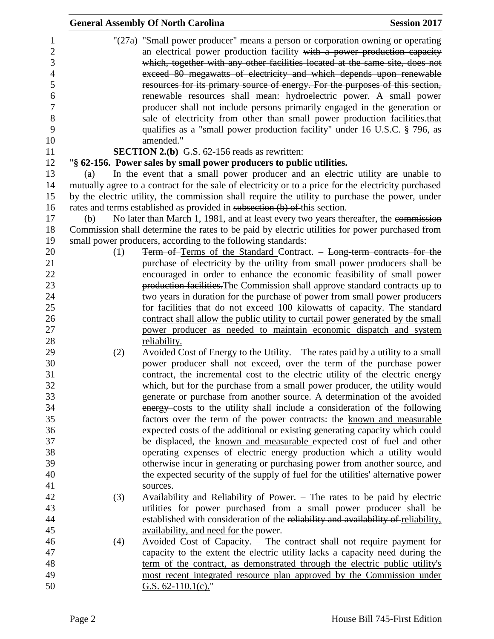|                                                                        |                   | <b>General Assembly Of North Carolina</b>                                                                                                                                                                                                                                                                                                                                                                                                                                                                                                                                                                                                                                                                                                                                                                                                                       | <b>Session 2017</b> |
|------------------------------------------------------------------------|-------------------|-----------------------------------------------------------------------------------------------------------------------------------------------------------------------------------------------------------------------------------------------------------------------------------------------------------------------------------------------------------------------------------------------------------------------------------------------------------------------------------------------------------------------------------------------------------------------------------------------------------------------------------------------------------------------------------------------------------------------------------------------------------------------------------------------------------------------------------------------------------------|---------------------|
| 1<br>$\mathbf{2}$<br>3<br>4<br>5<br>6<br>7<br>8<br>9<br>10<br>11<br>12 |                   | "(27a) "Small power producer" means a person or corporation owning or operating<br>an electrical power production facility with a power production capacity<br>which, together with any other facilities located at the same site, does not<br>exceed 80 megawatts of electricity and which depends upon renewable<br>resources for its primary source of energy. For the purposes of this section,<br>renewable resources shall mean: hydroelectric power. A small power<br>producer shall not include persons primarily engaged in the generation or<br>sale of electricity from other than small power production facilities.that<br>qualifies as a "small power production facility" under 16 U.S.C. § 796, as<br>amended."<br><b>SECTION 2.(b)</b> G.S. 62-156 reads as rewritten:<br>"§ 62-156. Power sales by small power producers to public utilities. |                     |
| 13                                                                     | (a)               | In the event that a small power producer and an electric utility are unable to                                                                                                                                                                                                                                                                                                                                                                                                                                                                                                                                                                                                                                                                                                                                                                                  |                     |
| 14                                                                     |                   | mutually agree to a contract for the sale of electricity or to a price for the electricity purchased                                                                                                                                                                                                                                                                                                                                                                                                                                                                                                                                                                                                                                                                                                                                                            |                     |
| 15                                                                     |                   | by the electric utility, the commission shall require the utility to purchase the power, under                                                                                                                                                                                                                                                                                                                                                                                                                                                                                                                                                                                                                                                                                                                                                                  |                     |
| 16                                                                     |                   | rates and terms established as provided in subsection (b) of this section.                                                                                                                                                                                                                                                                                                                                                                                                                                                                                                                                                                                                                                                                                                                                                                                      |                     |
| 17                                                                     | (b)               | No later than March 1, 1981, and at least every two years thereafter, the commission                                                                                                                                                                                                                                                                                                                                                                                                                                                                                                                                                                                                                                                                                                                                                                            |                     |
| 18<br>19                                                               |                   | Commission shall determine the rates to be paid by electric utilities for power purchased from<br>small power producers, according to the following standards:                                                                                                                                                                                                                                                                                                                                                                                                                                                                                                                                                                                                                                                                                                  |                     |
| 20                                                                     | (1)               | Term of Terms of the Standard Contract. - Long term contracts for the                                                                                                                                                                                                                                                                                                                                                                                                                                                                                                                                                                                                                                                                                                                                                                                           |                     |
| 21                                                                     |                   | purchase of electricity by the utility from small power producers shall be                                                                                                                                                                                                                                                                                                                                                                                                                                                                                                                                                                                                                                                                                                                                                                                      |                     |
| 22                                                                     |                   | encouraged in order to enhance the economic feasibility of small power                                                                                                                                                                                                                                                                                                                                                                                                                                                                                                                                                                                                                                                                                                                                                                                          |                     |
| 23                                                                     |                   | production facilities. The Commission shall approve standard contracts up to                                                                                                                                                                                                                                                                                                                                                                                                                                                                                                                                                                                                                                                                                                                                                                                    |                     |
| 24                                                                     |                   | two years in duration for the purchase of power from small power producers                                                                                                                                                                                                                                                                                                                                                                                                                                                                                                                                                                                                                                                                                                                                                                                      |                     |
| 25                                                                     |                   | for facilities that do not exceed 100 kilowatts of capacity. The standard                                                                                                                                                                                                                                                                                                                                                                                                                                                                                                                                                                                                                                                                                                                                                                                       |                     |
| 26                                                                     |                   | contract shall allow the public utility to curtail power generated by the small                                                                                                                                                                                                                                                                                                                                                                                                                                                                                                                                                                                                                                                                                                                                                                                 |                     |
| 27                                                                     |                   | power producer as needed to maintain economic dispatch and system                                                                                                                                                                                                                                                                                                                                                                                                                                                                                                                                                                                                                                                                                                                                                                                               |                     |
| 28                                                                     |                   | reliability.                                                                                                                                                                                                                                                                                                                                                                                                                                                                                                                                                                                                                                                                                                                                                                                                                                                    |                     |
| 29                                                                     | (2)               | Avoided Cost of Energy to the Utility. – The rates paid by a utility to a small                                                                                                                                                                                                                                                                                                                                                                                                                                                                                                                                                                                                                                                                                                                                                                                 |                     |
| 30                                                                     |                   | power producer shall not exceed, over the term of the purchase power                                                                                                                                                                                                                                                                                                                                                                                                                                                                                                                                                                                                                                                                                                                                                                                            |                     |
| 31                                                                     |                   | contract, the incremental cost to the electric utility of the electric energy                                                                                                                                                                                                                                                                                                                                                                                                                                                                                                                                                                                                                                                                                                                                                                                   |                     |
| 32                                                                     |                   | which, but for the purchase from a small power producer, the utility would                                                                                                                                                                                                                                                                                                                                                                                                                                                                                                                                                                                                                                                                                                                                                                                      |                     |
| 33                                                                     |                   | generate or purchase from another source. A determination of the avoided                                                                                                                                                                                                                                                                                                                                                                                                                                                                                                                                                                                                                                                                                                                                                                                        |                     |
| 34                                                                     |                   | energy-costs to the utility shall include a consideration of the following                                                                                                                                                                                                                                                                                                                                                                                                                                                                                                                                                                                                                                                                                                                                                                                      |                     |
| 35                                                                     |                   | factors over the term of the power contracts: the known and measurable                                                                                                                                                                                                                                                                                                                                                                                                                                                                                                                                                                                                                                                                                                                                                                                          |                     |
| 36                                                                     |                   | expected costs of the additional or existing generating capacity which could                                                                                                                                                                                                                                                                                                                                                                                                                                                                                                                                                                                                                                                                                                                                                                                    |                     |
| 37                                                                     |                   | be displaced, the known and measurable expected cost of fuel and other                                                                                                                                                                                                                                                                                                                                                                                                                                                                                                                                                                                                                                                                                                                                                                                          |                     |
| 38                                                                     |                   | operating expenses of electric energy production which a utility would                                                                                                                                                                                                                                                                                                                                                                                                                                                                                                                                                                                                                                                                                                                                                                                          |                     |
| 39                                                                     |                   | otherwise incur in generating or purchasing power from another source, and                                                                                                                                                                                                                                                                                                                                                                                                                                                                                                                                                                                                                                                                                                                                                                                      |                     |
| 40                                                                     |                   | the expected security of the supply of fuel for the utilities' alternative power                                                                                                                                                                                                                                                                                                                                                                                                                                                                                                                                                                                                                                                                                                                                                                                |                     |
| 41                                                                     |                   | sources.                                                                                                                                                                                                                                                                                                                                                                                                                                                                                                                                                                                                                                                                                                                                                                                                                                                        |                     |
| 42                                                                     | (3)               | Availability and Reliability of Power. – The rates to be paid by electric                                                                                                                                                                                                                                                                                                                                                                                                                                                                                                                                                                                                                                                                                                                                                                                       |                     |
| 43                                                                     |                   | utilities for power purchased from a small power producer shall be                                                                                                                                                                                                                                                                                                                                                                                                                                                                                                                                                                                                                                                                                                                                                                                              |                     |
| 44                                                                     |                   | established with consideration of the reliability and availability of reliability,                                                                                                                                                                                                                                                                                                                                                                                                                                                                                                                                                                                                                                                                                                                                                                              |                     |
| 45                                                                     |                   | availability, and need for the power.                                                                                                                                                                                                                                                                                                                                                                                                                                                                                                                                                                                                                                                                                                                                                                                                                           |                     |
| 46                                                                     | $\underline{(4)}$ | Avoided Cost of Capacity. - The contract shall not require payment for                                                                                                                                                                                                                                                                                                                                                                                                                                                                                                                                                                                                                                                                                                                                                                                          |                     |
| 47                                                                     |                   | capacity to the extent the electric utility lacks a capacity need during the                                                                                                                                                                                                                                                                                                                                                                                                                                                                                                                                                                                                                                                                                                                                                                                    |                     |
| 48                                                                     |                   | term of the contract, as demonstrated through the electric public utility's                                                                                                                                                                                                                                                                                                                                                                                                                                                                                                                                                                                                                                                                                                                                                                                     |                     |
| 49                                                                     |                   | most recent integrated resource plan approved by the Commission under                                                                                                                                                                                                                                                                                                                                                                                                                                                                                                                                                                                                                                                                                                                                                                                           |                     |
| 50                                                                     |                   | G.S. $62-110.1(c)$ ."                                                                                                                                                                                                                                                                                                                                                                                                                                                                                                                                                                                                                                                                                                                                                                                                                                           |                     |
|                                                                        |                   |                                                                                                                                                                                                                                                                                                                                                                                                                                                                                                                                                                                                                                                                                                                                                                                                                                                                 |                     |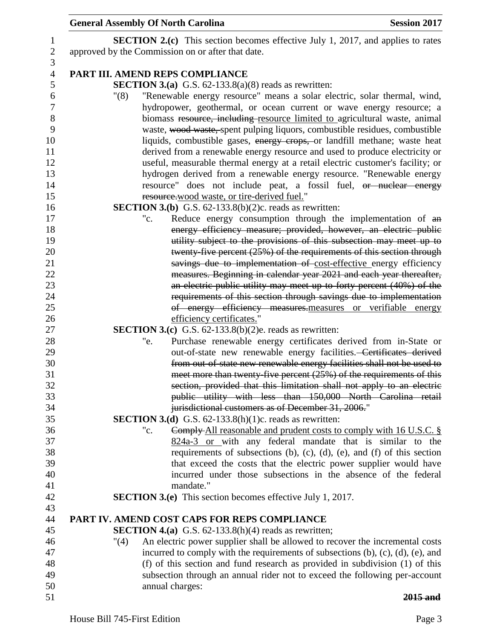|      | <b>General Assembly Of North Carolina</b>                                                                                         | <b>Session 2017</b> |
|------|-----------------------------------------------------------------------------------------------------------------------------------|---------------------|
|      | <b>SECTION 2.(c)</b> This section becomes effective July 1, 2017, and applies to rates                                            |                     |
|      | approved by the Commission on or after that date.                                                                                 |                     |
|      |                                                                                                                                   |                     |
|      | PART III. AMEND REPS COMPLIANCE<br><b>SECTION 3.(a)</b> G.S. $62-133.8(a)(8)$ reads as rewritten:                                 |                     |
| "(8) | "Renewable energy resource" means a solar electric, solar thermal, wind,                                                          |                     |
|      | hydropower, geothermal, or ocean current or wave energy resource; a                                                               |                     |
|      | biomass resource, including resource limited to agricultural waste, animal                                                        |                     |
|      | waste, wood waste, spent pulping liquors, combustible residues, combustible                                                       |                     |
|      | liquids, combustible gases, energy crops, or landfill methane; waste heat                                                         |                     |
|      | derived from a renewable energy resource and used to produce electricity or                                                       |                     |
|      | useful, measurable thermal energy at a retail electric customer's facility; or                                                    |                     |
|      | hydrogen derived from a renewable energy resource. "Renewable energy                                                              |                     |
|      | resource" does not include peat, a fossil fuel, or nuclear energy<br>resource.wood waste, or tire-derived fuel."                  |                     |
|      | <b>SECTION 3.(b)</b> G.S. $62-133.8(b)(2)c$ . reads as rewritten:                                                                 |                     |
|      | Reduce energy consumption through the implementation of an<br>"c.                                                                 |                     |
|      | energy efficiency measure; provided, however, an electric public                                                                  |                     |
|      | utility subject to the provisions of this subsection may meet up to                                                               |                     |
|      | twenty five percent $(25%)$ of the requirements of this section through                                                           |                     |
|      | savings due to implementation of cost-effective energy efficiency                                                                 |                     |
|      | measures. Beginning in calendar year 2021 and each year thereafter,                                                               |                     |
|      | an electric public utility may meet up to forty percent (40%) of the                                                              |                     |
|      | requirements of this section through savings due to implementation<br>of energy efficiency measures-measures or verifiable energy |                     |
|      | efficiency certificates."                                                                                                         |                     |
|      | <b>SECTION 3.(c)</b> G.S. $62-133.8(b)(2)e$ . reads as rewritten:                                                                 |                     |
|      | "e.<br>Purchase renewable energy certificates derived from in-State or                                                            |                     |
|      | out-of-state new renewable energy facilities. Certificates derived                                                                |                     |
|      | from out of state new renewable energy facilities shall not be used to                                                            |                     |
|      | meet more than twenty five percent (25%) of the requirements of this                                                              |                     |
|      | section, provided that this limitation shall not apply to an electric                                                             |                     |
|      | public utility with less than 150,000 North Carolina retail                                                                       |                     |
|      | jurisdictional customers as of December 31, 2006."<br><b>SECTION 3.(d)</b> G.S. $62-133.8(h)(1)c$ . reads as rewritten:           |                     |
|      | "c.<br>Comply-All reasonable and prudent costs to comply with $16$ U.S.C. §                                                       |                     |
|      | 824a-3 or with any federal mandate that is similar to the                                                                         |                     |
|      | requirements of subsections $(b)$ , $(c)$ , $(d)$ , $(e)$ , and $(f)$ of this section                                             |                     |
|      | that exceed the costs that the electric power supplier would have                                                                 |                     |
|      | incurred under those subsections in the absence of the federal                                                                    |                     |
|      | mandate."                                                                                                                         |                     |
|      | <b>SECTION 3.(e)</b> This section becomes effective July 1, 2017.                                                                 |                     |
|      | PART IV. AMEND COST CAPS FOR REPS COMPLIANCE                                                                                      |                     |
|      | <b>SECTION 4.(a)</b> G.S. $62-133.8(h)(4)$ reads as rewritten;                                                                    |                     |
| "(4) | An electric power supplier shall be allowed to recover the incremental costs                                                      |                     |
|      | incurred to comply with the requirements of subsections $(b)$ , $(c)$ , $(d)$ , $(e)$ , and                                       |                     |
|      | (f) of this section and fund research as provided in subdivision (1) of this                                                      |                     |
|      | subsection through an annual rider not to exceed the following per-account                                                        |                     |
|      | annual charges:                                                                                                                   |                     |
|      |                                                                                                                                   | 2015 and            |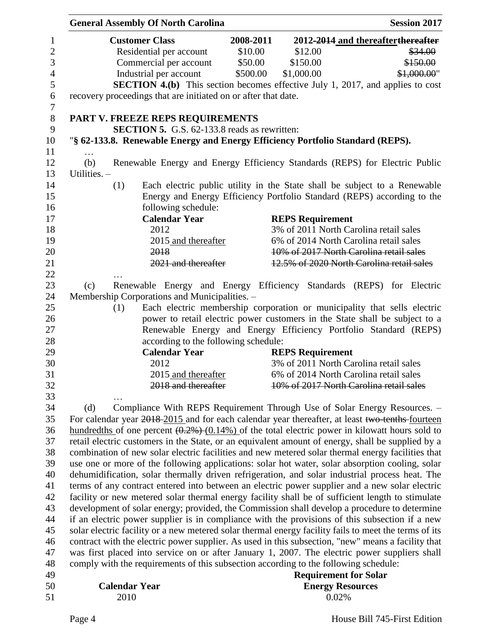|                     | <b>General Assembly Of North Carolina</b>                                                             |           | <b>Session 2017</b>                    |                                                                             |
|---------------------|-------------------------------------------------------------------------------------------------------|-----------|----------------------------------------|-----------------------------------------------------------------------------|
|                     | <b>Customer Class</b>                                                                                 | 2008-2011 |                                        | 2012-2014 and thereafter thereafter                                         |
|                     | Residential per account                                                                               | \$10.00   | \$12.00                                | \$34.00                                                                     |
|                     | Commercial per account                                                                                | \$50.00   | \$150.00                               | \$150.00                                                                    |
|                     | Industrial per account                                                                                | \$500.00  | \$1,000.00                             | \$1,000.00"                                                                 |
|                     | <b>SECTION 4.(b)</b> This section becomes effective July 1, 2017, and applies to cost                 |           |                                        |                                                                             |
|                     | recovery proceedings that are initiated on or after that date.                                        |           |                                        |                                                                             |
|                     | PART V. FREEZE REPS REQUIREMENTS                                                                      |           |                                        |                                                                             |
|                     | <b>SECTION 5.</b> G.S. 62-133.8 reads as rewritten:                                                   |           |                                        |                                                                             |
|                     | "§ 62-133.8. Renewable Energy and Energy Efficiency Portfolio Standard (REPS).                        |           |                                        |                                                                             |
| $\cdots$            |                                                                                                       |           |                                        |                                                                             |
| (b)<br>Utilities. - | Renewable Energy and Energy Efficiency Standards (REPS) for Electric Public                           |           |                                        |                                                                             |
| (1)                 |                                                                                                       |           |                                        | Each electric public utility in the State shall be subject to a Renewable   |
|                     |                                                                                                       |           |                                        | Energy and Energy Efficiency Portfolio Standard (REPS) according to the     |
|                     | following schedule:                                                                                   |           |                                        |                                                                             |
|                     | <b>Calendar Year</b>                                                                                  |           | <b>REPS Requirement</b>                |                                                                             |
|                     | 2012                                                                                                  |           | 3% of 2011 North Carolina retail sales |                                                                             |
|                     | 2015 and thereafter                                                                                   |           | 6% of 2014 North Carolina retail sales |                                                                             |
|                     | 2018                                                                                                  |           |                                        | 10% of 2017 North Carolina retail sales                                     |
|                     | 2021 and thereafter                                                                                   |           |                                        | 12.5% of 2020 North Carolina retail sales                                   |
|                     |                                                                                                       |           |                                        |                                                                             |
| (c)                 | Renewable Energy and Energy Efficiency Standards (REPS) for Electric                                  |           |                                        |                                                                             |
|                     | Membership Corporations and Municipalities. -                                                         |           |                                        |                                                                             |
| (1)                 |                                                                                                       |           |                                        | Each electric membership corporation or municipality that sells electric    |
|                     |                                                                                                       |           |                                        | power to retail electric power customers in the State shall be subject to a |
|                     |                                                                                                       |           |                                        | Renewable Energy and Energy Efficiency Portfolio Standard (REPS)            |
|                     | according to the following schedule:                                                                  |           |                                        |                                                                             |
|                     | <b>Calendar Year</b>                                                                                  |           | <b>REPS Requirement</b>                |                                                                             |
|                     | 2012                                                                                                  |           | 3% of 2011 North Carolina retail sales |                                                                             |
|                     | 2015 and thereafter                                                                                   |           | 6% of 2014 North Carolina retail sales |                                                                             |
|                     | 2018 and thereafter                                                                                   |           |                                        | 10% of 2017 North Carolina retail sales                                     |
|                     |                                                                                                       |           |                                        |                                                                             |
| (d)                 | Compliance With REPS Requirement Through Use of Solar Energy Resources. -                             |           |                                        |                                                                             |
|                     | For calendar year 2018-2015 and for each calendar year thereafter, at least two tenths fourteen       |           |                                        |                                                                             |
|                     | hundredths of one percent $(0.2\%)$ (0.14%) of the total electric power in kilowatt hours sold to     |           |                                        |                                                                             |
|                     | retail electric customers in the State, or an equivalent amount of energy, shall be supplied by a     |           |                                        |                                                                             |
|                     | combination of new solar electric facilities and new metered solar thermal energy facilities that     |           |                                        |                                                                             |
|                     | use one or more of the following applications: solar hot water, solar absorption cooling, solar       |           |                                        |                                                                             |
|                     | dehumidification, solar thermally driven refrigeration, and solar industrial process heat. The        |           |                                        |                                                                             |
|                     | terms of any contract entered into between an electric power supplier and a new solar electric        |           |                                        |                                                                             |
|                     | facility or new metered solar thermal energy facility shall be of sufficient length to stimulate      |           |                                        |                                                                             |
|                     | development of solar energy; provided, the Commission shall develop a procedure to determine          |           |                                        |                                                                             |
|                     | if an electric power supplier is in compliance with the provisions of this subsection if a new        |           |                                        |                                                                             |
|                     | solar electric facility or a new metered solar thermal energy facility fails to meet the terms of its |           |                                        |                                                                             |
|                     | contract with the electric power supplier. As used in this subsection, "new" means a facility that    |           |                                        |                                                                             |
|                     | was first placed into service on or after January 1, 2007. The electric power suppliers shall         |           |                                        |                                                                             |
|                     | comply with the requirements of this subsection according to the following schedule:                  |           |                                        |                                                                             |
|                     |                                                                                                       |           | <b>Requirement for Solar</b>           |                                                                             |
|                     | <b>Calendar Year</b>                                                                                  |           | <b>Energy Resources</b>                |                                                                             |
|                     | 2010                                                                                                  |           | 0.02%                                  |                                                                             |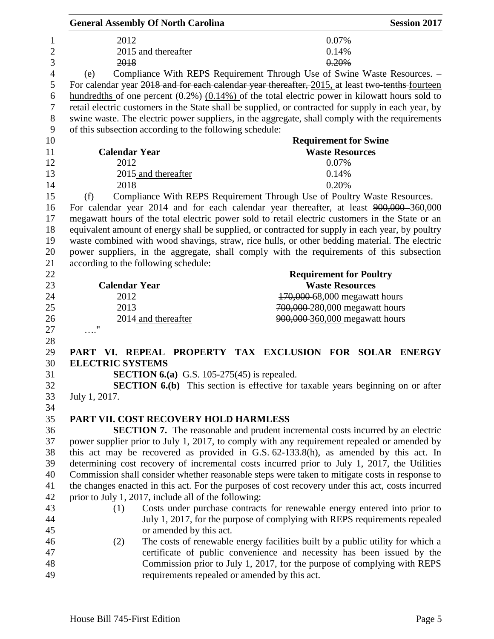| <b>General Assembly Of North Carolina</b>               | <b>Session 2017</b>                                                                                 |
|---------------------------------------------------------|-----------------------------------------------------------------------------------------------------|
| 2012                                                    | 0.07%                                                                                               |
| 2015 and thereafter                                     | 0.14%                                                                                               |
| 2018                                                    | 0.20%                                                                                               |
| (e)                                                     | Compliance With REPS Requirement Through Use of Swine Waste Resources. -                            |
|                                                         | For calendar year 2018 and for each calendar year thereafter, 2015, at least two tenths fourteen    |
|                                                         | hundredths of one percent $(0.2\%)$ (0.14%) of the total electric power in kilowatt hours sold to   |
|                                                         | retail electric customers in the State shall be supplied, or contracted for supply in each year, by |
|                                                         | swine waste. The electric power suppliers, in the aggregate, shall comply with the requirements     |
| of this subsection according to the following schedule: |                                                                                                     |
|                                                         | <b>Requirement for Swine</b>                                                                        |
| <b>Calendar Year</b>                                    | <b>Waste Resources</b>                                                                              |
| 2012                                                    | 0.07%                                                                                               |
| 2015 and thereafter                                     | 0.14%                                                                                               |
| 2018                                                    | 0.20%                                                                                               |
| (f)                                                     | Compliance With REPS Requirement Through Use of Poultry Waste Resources. -                          |
|                                                         | For calendar year 2014 and for each calendar year thereafter, at least 900,000-360,000              |
|                                                         | megawatt hours of the total electric power sold to retail electric customers in the State or an     |
|                                                         | equivalent amount of energy shall be supplied, or contracted for supply in each year, by poultry    |
|                                                         | waste combined with wood shavings, straw, rice hulls, or other bedding material. The electric       |
|                                                         | power suppliers, in the aggregate, shall comply with the requirements of this subsection            |
| according to the following schedule:                    |                                                                                                     |
|                                                         | <b>Requirement for Poultry</b>                                                                      |
| <b>Calendar Year</b>                                    | <b>Waste Resources</b>                                                                              |
| 2012                                                    | 170,000 68,000 megawatt hours                                                                       |
| 2013                                                    | 700,000-280,000 megawatt hours                                                                      |
| 2014 and thereafter                                     | 900,000-360,000 megawatt hours                                                                      |
| 11                                                      |                                                                                                     |
|                                                         |                                                                                                     |
|                                                         | PART VI. REPEAL PROPERTY TAX EXCLUSION FOR SOLAR ENERGY                                             |
| <b>ELECTRIC SYSTEMS</b>                                 |                                                                                                     |
| <b>SECTION 6.(a)</b> G.S. 105-275(45) is repealed.      |                                                                                                     |
|                                                         | <b>SECTION 6.(b)</b> This section is effective for taxable years beginning on or after              |
| July 1, 2017.                                           |                                                                                                     |
|                                                         |                                                                                                     |
| PART VII. COST RECOVERY HOLD HARMLESS                   |                                                                                                     |
|                                                         | <b>SECTION 7.</b> The reasonable and prudent incremental costs incurred by an electric              |
|                                                         | power supplier prior to July 1, 2017, to comply with any requirement repealed or amended by         |
|                                                         | this act may be recovered as provided in G.S. 62-133.8(h), as amended by this act. In               |
|                                                         | determining cost recovery of incremental costs incurred prior to July 1, 2017, the Utilities        |
|                                                         | Commission shall consider whether reasonable steps were taken to mitigate costs in response to      |
|                                                         | the changes enacted in this act. For the purposes of cost recovery under this act, costs incurred   |
| prior to July 1, 2017, include all of the following:    |                                                                                                     |
| (1)                                                     | Costs under purchase contracts for renewable energy entered into prior to                           |
|                                                         | July 1, 2017, for the purpose of complying with REPS requirements repealed                          |
| or amended by this act.                                 |                                                                                                     |
| (2)                                                     | The costs of renewable energy facilities built by a public utility for which a                      |
|                                                         | certificate of public convenience and necessity has been issued by the                              |
|                                                         | Commission prior to July 1, 2017, for the purpose of complying with REPS                            |
|                                                         | requirements repealed or amended by this act.                                                       |
|                                                         |                                                                                                     |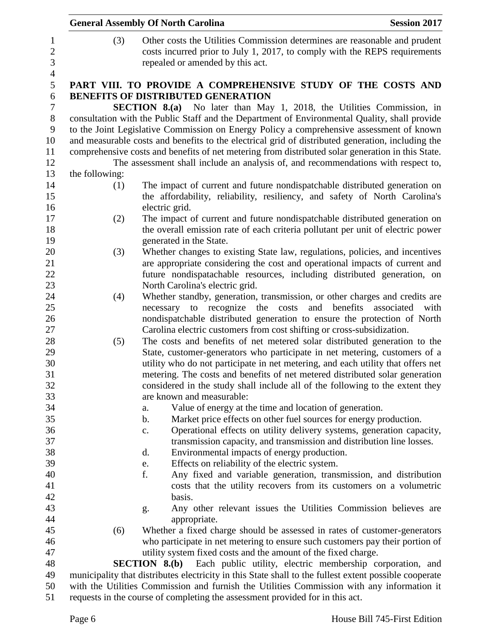|                | <b>General Assembly Of North Carolina</b><br><b>Session 2017</b>                                                                                                                                                                                                                                                                                                                                                                                                                                                                                                         |      |
|----------------|--------------------------------------------------------------------------------------------------------------------------------------------------------------------------------------------------------------------------------------------------------------------------------------------------------------------------------------------------------------------------------------------------------------------------------------------------------------------------------------------------------------------------------------------------------------------------|------|
| (3)            | Other costs the Utilities Commission determines are reasonable and prudent<br>costs incurred prior to July 1, 2017, to comply with the REPS requirements<br>repealed or amended by this act.                                                                                                                                                                                                                                                                                                                                                                             |      |
|                | PART VIII. TO PROVIDE A COMPREHENSIVE STUDY OF THE COSTS AND                                                                                                                                                                                                                                                                                                                                                                                                                                                                                                             |      |
|                | <b>BENEFITS OF DISTRIBUTED GENERATION</b>                                                                                                                                                                                                                                                                                                                                                                                                                                                                                                                                |      |
|                | <b>SECTION 8.(a)</b> No later than May 1, 2018, the Utilities Commission, in<br>consultation with the Public Staff and the Department of Environmental Quality, shall provide<br>to the Joint Legislative Commission on Energy Policy a comprehensive assessment of known<br>and measurable costs and benefits to the electrical grid of distributed generation, including the<br>comprehensive costs and benefits of net metering from distributed solar generation in this State.<br>The assessment shall include an analysis of, and recommendations with respect to, |      |
| the following: |                                                                                                                                                                                                                                                                                                                                                                                                                                                                                                                                                                          |      |
| (1)            | The impact of current and future nondispatchable distributed generation on<br>the affordability, reliability, resiliency, and safety of North Carolina's<br>electric grid.                                                                                                                                                                                                                                                                                                                                                                                               |      |
| (2)            | The impact of current and future nondispatchable distributed generation on                                                                                                                                                                                                                                                                                                                                                                                                                                                                                               |      |
|                | the overall emission rate of each criteria pollutant per unit of electric power<br>generated in the State.                                                                                                                                                                                                                                                                                                                                                                                                                                                               |      |
| (3)            | Whether changes to existing State law, regulations, policies, and incentives                                                                                                                                                                                                                                                                                                                                                                                                                                                                                             |      |
|                | are appropriate considering the cost and operational impacts of current and                                                                                                                                                                                                                                                                                                                                                                                                                                                                                              |      |
|                | future nondispatachable resources, including distributed generation, on                                                                                                                                                                                                                                                                                                                                                                                                                                                                                                  |      |
|                | North Carolina's electric grid.                                                                                                                                                                                                                                                                                                                                                                                                                                                                                                                                          |      |
| (4)            | Whether standby, generation, transmission, or other charges and credits are                                                                                                                                                                                                                                                                                                                                                                                                                                                                                              |      |
|                | necessary to recognize the<br>costs<br>and<br>benefits<br>associated                                                                                                                                                                                                                                                                                                                                                                                                                                                                                                     | with |
|                | nondispatchable distributed generation to ensure the protection of North                                                                                                                                                                                                                                                                                                                                                                                                                                                                                                 |      |
|                | Carolina electric customers from cost shifting or cross-subsidization.                                                                                                                                                                                                                                                                                                                                                                                                                                                                                                   |      |
| (5)            | The costs and benefits of net metered solar distributed generation to the                                                                                                                                                                                                                                                                                                                                                                                                                                                                                                |      |
|                | State, customer-generators who participate in net metering, customers of a                                                                                                                                                                                                                                                                                                                                                                                                                                                                                               |      |
|                | utility who do not participate in net metering, and each utility that offers net                                                                                                                                                                                                                                                                                                                                                                                                                                                                                         |      |
|                | metering. The costs and benefits of net metered distributed solar generation<br>considered in the study shall include all of the following to the extent they                                                                                                                                                                                                                                                                                                                                                                                                            |      |
|                | are known and measurable:                                                                                                                                                                                                                                                                                                                                                                                                                                                                                                                                                |      |
|                | Value of energy at the time and location of generation.<br>a.                                                                                                                                                                                                                                                                                                                                                                                                                                                                                                            |      |
|                | Market price effects on other fuel sources for energy production.<br>b.                                                                                                                                                                                                                                                                                                                                                                                                                                                                                                  |      |
|                | Operational effects on utility delivery systems, generation capacity,<br>c.                                                                                                                                                                                                                                                                                                                                                                                                                                                                                              |      |
|                | transmission capacity, and transmission and distribution line losses.                                                                                                                                                                                                                                                                                                                                                                                                                                                                                                    |      |
|                | Environmental impacts of energy production.<br>d.                                                                                                                                                                                                                                                                                                                                                                                                                                                                                                                        |      |
|                | Effects on reliability of the electric system.<br>e.                                                                                                                                                                                                                                                                                                                                                                                                                                                                                                                     |      |
|                | f.<br>Any fixed and variable generation, transmission, and distribution                                                                                                                                                                                                                                                                                                                                                                                                                                                                                                  |      |
|                | costs that the utility recovers from its customers on a volumetric                                                                                                                                                                                                                                                                                                                                                                                                                                                                                                       |      |
|                | basis.                                                                                                                                                                                                                                                                                                                                                                                                                                                                                                                                                                   |      |
|                | Any other relevant issues the Utilities Commission believes are<br>g.                                                                                                                                                                                                                                                                                                                                                                                                                                                                                                    |      |
|                | appropriate.                                                                                                                                                                                                                                                                                                                                                                                                                                                                                                                                                             |      |
| (6)            | Whether a fixed charge should be assessed in rates of customer-generators                                                                                                                                                                                                                                                                                                                                                                                                                                                                                                |      |
|                | who participate in net metering to ensure such customers pay their portion of                                                                                                                                                                                                                                                                                                                                                                                                                                                                                            |      |
|                | utility system fixed costs and the amount of the fixed charge.                                                                                                                                                                                                                                                                                                                                                                                                                                                                                                           |      |
|                | SECTION 8.(b)<br>Each public utility, electric membership corporation, and<br>municipality that distributes electricity in this State shall to the fullest extent possible cooperate                                                                                                                                                                                                                                                                                                                                                                                     |      |
|                | with the Utilities Commission and furnish the Utilities Commission with any information it                                                                                                                                                                                                                                                                                                                                                                                                                                                                               |      |